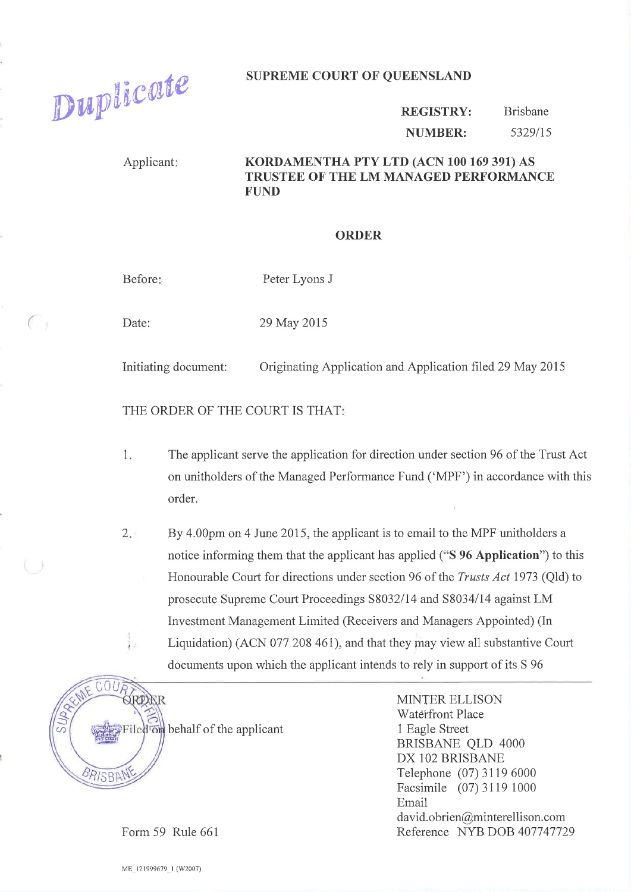Duplicate

## **SUPREME COURT OF QUEENSLAND**

**REGISTRY: Brisbane** 5329/15 **NUMBER:** 

Applicant:

## KORDAMENTHA PTY LTD (ACN 100 169 391) AS TRUSTEE OF THE LM MANAGED PERFORMANCE **FUND**

## **ORDER**

Before:

Peter Lyons J

Date:

 $\subset$ 

29 May 2015

Initiating document: Originating Application and Application filed 29 May 2015

THE ORDER OF THE COURT IS THAT:

- $1.$ The applicant serve the application for direction under section 96 of the Trust Act on unitholders of the Managed Performance Fund ('MPF') in accordance with this order.
- $2 -$ By 4.00pm on 4 June 2015, the applicant is to email to the MPF unitholders a notice informing them that the applicant has applied ("S 96 Application") to this Honourable Court for directions under section 96 of the *Trusts Act* 1973 (Old) to prosecute Supreme Court Proceedings S8032/14 and S8034/14 against LM Investment Management Limited (Receivers and Managers Appointed) (In Liquidation) (ACN 077 208 461), and that they may view all substantive Court documents upon which the applicant intends to rely in support of its S 96



iled on behalf of the applicant

**MINTER ELLISON Waterfront Place** 1 Eagle Street **BRISBANE QLD 4000** DX 102 BRISBANE Telephone (07) 3119 6000 Facsimile (07) 3119 1000 Email david.obrien@minterellison.com Reference NYB DOB 407747729

Form 59 Rule 661

ME\_121999679\_1 (W2007)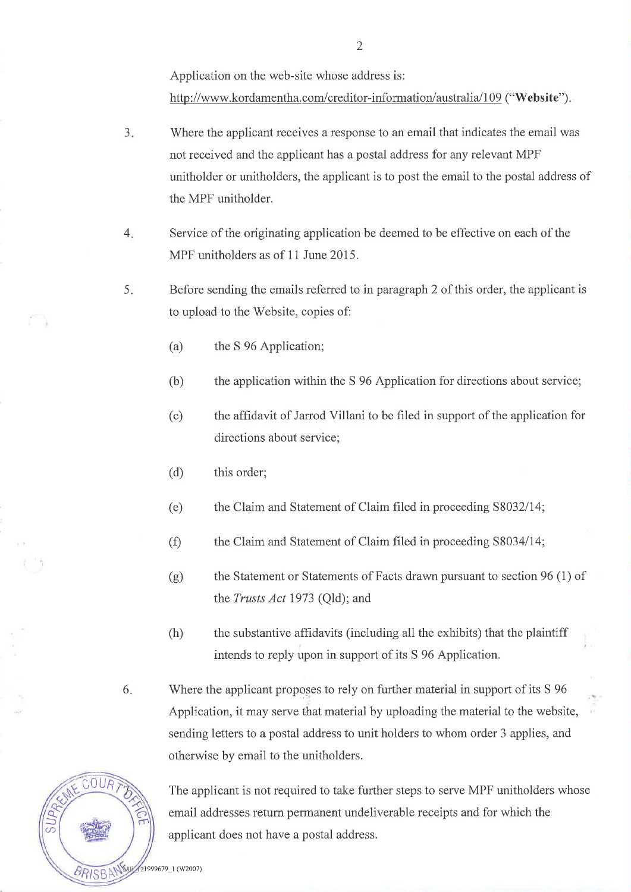Application on the web-site whose address is:

http://www.kordamentha.com/creditor-information/australia/109 ("Website").

- J Where the applicant receives a response to an email that indicates the email was not received and the applicant has a postal address for any relevant MPF unitholder or unitholders, the applicant is to post the email to the postal address of the MPF unitholder.
- 4 Service of the originating application be deemed to be effective on each of the MPF unitholders as of 11 June 2015.
- Before sending the emails referred to in paragraph 2 of this order, the applicant is to upload to the'Website, copies of: 5
	- (a) the S 96 Application;
	- (b) the application within the S 96 Application for directions about service;
	- (c) the affidavit of Jarrod Villani to be filed in support of the application for directions about service;
	- (d) this order;
	- (e) the Claim and Statement of Claim filed in proceeding 58032114;
	- (Ð the Claim and Statement of Claim filed in proceeding S8034/14;
	- the Statement or Statements of Facts drawn pursuant to section 96 (1) of the Trusts Act 1973 (Qld); and (e)
	- $(h)$  the substantive affidavits (including all the exhibits) that the plaintiff intends to reply upon in support of its S 96 Application.
- 'Where the applicant proposes to rely on further material in support of its S <sup>96</sup> Application, it may serve that material by uploading the material to the website, sending letters to a postal address to unit holders to whom order 3 applies, and otherwise by email to the unitholders. 6



The applicant is not required to take further steps to serve MPF unitholders whose email addresses return permanent undeliverable receipts and for which the applicant does not have a postal address.